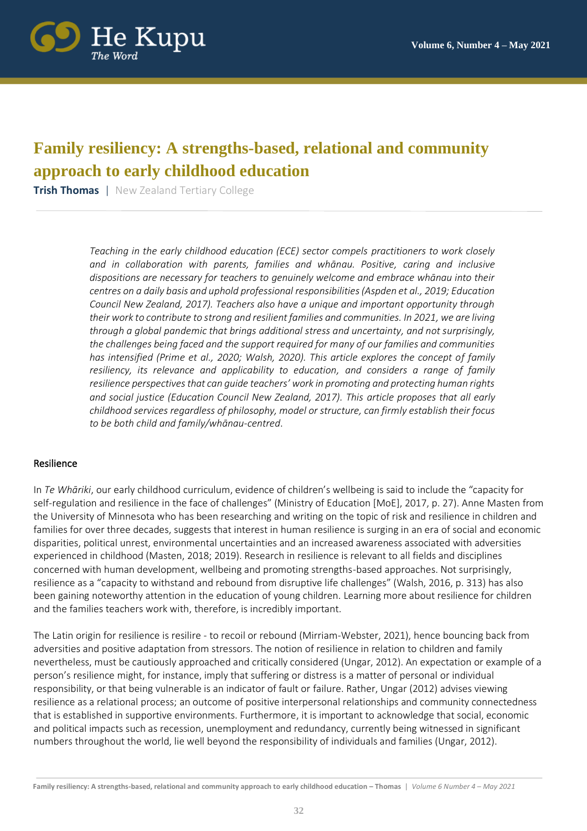

# **Family resiliency: A strengths-based, relational and community approach to early childhood education**

**Trish Thomas** | New Zealand Tertiary College

*Teaching in the early childhood education (ECE) sector compels practitioners to work closely and in collaboration with parents, families and whānau. Positive, caring and inclusive dispositions are necessary for teachers to genuinely welcome and embrace whānau into their centres on a daily basis and uphold professional responsibilities (Aspden et al., 2019; Education Council New Zealand, 2017). Teachers also have a unique and important opportunity through their work to contribute to strong and resilient families and communities. In 2021, we are living through a global pandemic that brings additional stress and uncertainty, and not surprisingly, the challenges being faced and the support required for many of our families and communities has intensified (Prime et al., 2020; Walsh, 2020). This article explores the concept of family resiliency, its relevance and applicability to education, and considers a range of family resilience perspectives that can guide teachers' work in promoting and protecting human rights and social justice (Education Council New Zealand, 2017). This article proposes that all early childhood services regardless of philosophy, model or structure, can firmly establish their focus to be both child and family/whānau-centred*.

#### Resilience

In *Te Whāriki*, our early childhood curriculum, evidence of children's wellbeing is said to include the "capacity for self-regulation and resilience in the face of challenges" (Ministry of Education [MoE], 2017, p. 27). Anne Masten from the University of Minnesota who has been researching and writing on the topic of risk and resilience in children and families for over three decades, suggests that interest in human resilience is surging in an era of social and economic disparities, political unrest, environmental uncertainties and an increased awareness associated with adversities experienced in childhood (Masten, 2018; 2019). Research in resilience is relevant to all fields and disciplines concerned with human development, wellbeing and promoting strengths-based approaches. Not surprisingly, resilience as a "capacity to withstand and rebound from disruptive life challenges" (Walsh, 2016, p. 313) has also been gaining noteworthy attention in the education of young children. Learning more about resilience for children and the families teachers work with, therefore, is incredibly important.

The Latin origin for resilience is resilire - to recoil or rebound (Mirriam-Webster, 2021), hence bouncing back from adversities and positive adaptation from stressors. The notion of resilience in relation to children and family nevertheless, must be cautiously approached and critically considered (Ungar, 2012). An expectation or example of a person's resilience might, for instance, imply that suffering or distress is a matter of personal or individual responsibility, or that being vulnerable is an indicator of fault or failure. Rather, Ungar (2012) advises viewing resilience as a relational process; an outcome of positive interpersonal relationships and community connectedness that is established in supportive environments. Furthermore, it is important to acknowledge that social, economic and political impacts such as recession, unemployment and redundancy, currently being witnessed in significant numbers throughout the world, lie well beyond the responsibility of individuals and families (Ungar, 2012).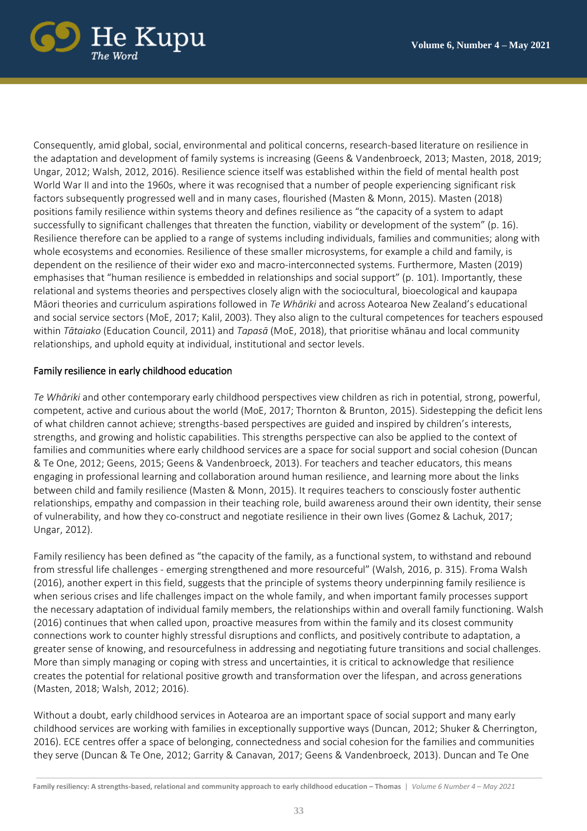

Consequently, amid global, social, environmental and political concerns, research-based literature on resilience in the adaptation and development of family systems is increasing (Geens & Vandenbroeck, 2013; Masten, 2018, 2019; Ungar, 2012; Walsh, 2012, 2016). Resilience science itself was established within the field of mental health post World War II and into the 1960s, where it was recognised that a number of people experiencing significant risk factors subsequently progressed well and in many cases, flourished (Masten & Monn, 2015). Masten (2018) positions family resilience within systems theory and defines resilience as "the capacity of a system to adapt successfully to significant challenges that threaten the function, viability or development of the system" (p. 16). Resilience therefore can be applied to a range of systems including individuals, families and communities; along with whole ecosystems and economies. Resilience of these smaller microsystems, for example a child and family, is dependent on the resilience of their wider exo and macro-interconnected systems. Furthermore, Masten (2019) emphasises that "human resilience is embedded in relationships and social support" (p. 101). Importantly, these relational and systems theories and perspectives closely align with the sociocultural, bioecological and kaupapa Māori theories and curriculum aspirations followed in *Te Whāriki* and across Aotearoa New Zealand's educational and social service sectors (MoE, 2017; Kalil, 2003). They also align to the cultural competences for teachers espoused within *Tātaiako* (Education Council, 2011) and *Tapasā* (MoE, 2018), that prioritise whānau and local community relationships, and uphold equity at individual, institutional and sector levels.

### Family resilience in early childhood education

*Te Whāriki* and other contemporary early childhood perspectives view children as rich in potential, strong, powerful, competent, active and curious about the world (MoE, 2017; Thornton & Brunton, 2015). Sidestepping the deficit lens of what children cannot achieve; strengths-based perspectives are guided and inspired by children's interests, strengths, and growing and holistic capabilities. This strengths perspective can also be applied to the context of families and communities where early childhood services are a space for social support and social cohesion (Duncan & Te One, 2012; Geens, 2015; Geens & Vandenbroeck, 2013). For teachers and teacher educators, this means engaging in professional learning and collaboration around human resilience, and learning more about the links between child and family resilience (Masten & Monn, 2015). It requires teachers to consciously foster authentic relationships, empathy and compassion in their teaching role, build awareness around their own identity, their sense of vulnerability, and how they co-construct and negotiate resilience in their own lives (Gomez & Lachuk, 2017; Ungar, 2012).

Family resiliency has been defined as "the capacity of the family, as a functional system, to withstand and rebound from stressful life challenges - emerging strengthened and more resourceful" (Walsh, 2016, p. 315). Froma Walsh (2016), another expert in this field, suggests that the principle of systems theory underpinning family resilience is when serious crises and life challenges impact on the whole family, and when important family processes support the necessary adaptation of individual family members, the relationships within and overall family functioning. Walsh (2016) continues that when called upon, proactive measures from within the family and its closest community connections work to counter highly stressful disruptions and conflicts, and positively contribute to adaptation, a greater sense of knowing, and resourcefulness in addressing and negotiating future transitions and social challenges. More than simply managing or coping with stress and uncertainties, it is critical to acknowledge that resilience creates the potential for relational positive growth and transformation over the lifespan, and across generations (Masten, 2018; Walsh, 2012; 2016).

Without a doubt, early childhood services in Aotearoa are an important space of social support and many early childhood services are working with families in exceptionally supportive ways (Duncan, 2012; Shuker & Cherrington, 2016). ECE centres offer a space of belonging, connectedness and social cohesion for the families and communities they serve (Duncan & Te One, 2012; Garrity & Canavan, 2017; Geens & Vandenbroeck, 2013). Duncan and Te One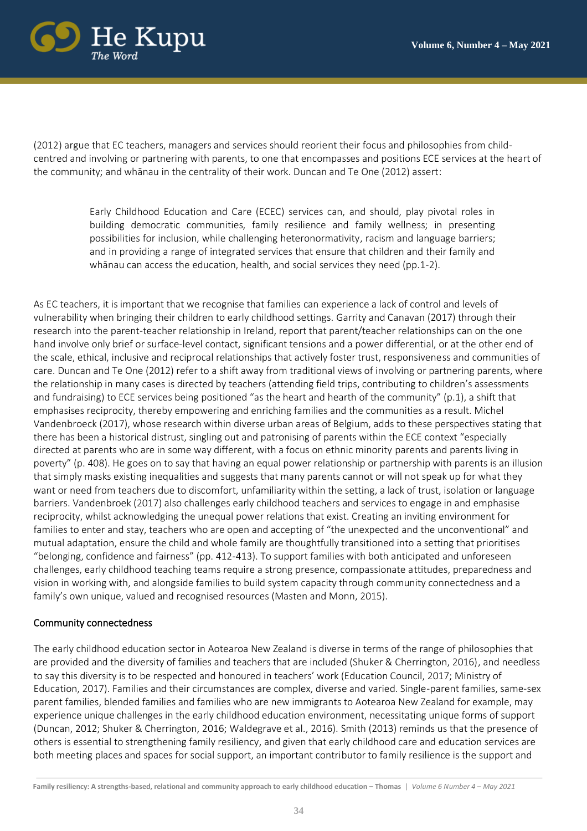

(2012) argue that EC teachers, managers and services should reorient their focus and philosophies from childcentred and involving or partnering with parents, to one that encompasses and positions ECE services at the heart of the community; and whānau in the centrality of their work. Duncan and Te One (2012) assert:

> Early Childhood Education and Care (ECEC) services can, and should, play pivotal roles in building democratic communities, family resilience and family wellness; in presenting possibilities for inclusion, while challenging heteronormativity, racism and language barriers; and in providing a range of integrated services that ensure that children and their family and whānau can access the education, health, and social services they need (pp.1-2).

As EC teachers, it is important that we recognise that families can experience a lack of control and levels of vulnerability when bringing their children to early childhood settings. Garrity and Canavan (2017) through their research into the parent-teacher relationship in Ireland, report that parent/teacher relationships can on the one hand involve only brief or surface-level contact, significant tensions and a power differential, or at the other end of the scale, ethical, inclusive and reciprocal relationships that actively foster trust, responsiveness and communities of care. Duncan and Te One (2012) refer to a shift away from traditional views of involving or partnering parents, where the relationship in many cases is directed by teachers (attending field trips, contributing to children's assessments and fundraising) to ECE services being positioned "as the heart and hearth of the community" (p.1), a shift that emphasises reciprocity, thereby empowering and enriching families and the communities as a result. Michel Vandenbroeck (2017), whose research within diverse urban areas of Belgium, adds to these perspectives stating that there has been a historical distrust, singling out and patronising of parents within the ECE context "especially directed at parents who are in some way different, with a focus on ethnic minority parents and parents living in poverty" (p. 408). He goes on to say that having an equal power relationship or partnership with parents is an illusion that simply masks existing inequalities and suggests that many parents cannot or will not speak up for what they want or need from teachers due to discomfort, unfamiliarity within the setting, a lack of trust, isolation or language barriers. Vandenbroek (2017) also challenges early childhood teachers and services to engage in and emphasise reciprocity, whilst acknowledging the unequal power relations that exist. Creating an inviting environment for families to enter and stay, teachers who are open and accepting of "the unexpected and the unconventional" and mutual adaptation, ensure the child and whole family are thoughtfully transitioned into a setting that prioritises "belonging, confidence and fairness" (pp. 412-413). To support families with both anticipated and unforeseen challenges, early childhood teaching teams require a strong presence, compassionate attitudes, preparedness and vision in working with, and alongside families to build system capacity through community connectedness and a family's own unique, valued and recognised resources (Masten and Monn, 2015).

#### Community connectedness

The early childhood education sector in Aotearoa New Zealand is diverse in terms of the range of philosophies that are provided and the diversity of families and teachers that are included (Shuker & Cherrington, 2016), and needless to say this diversity is to be respected and honoured in teachers' work (Education Council, 2017; Ministry of Education, 2017). Families and their circumstances are complex, diverse and varied. Single-parent families, same-sex parent families, blended families and families who are new immigrants to Aotearoa New Zealand for example, may experience unique challenges in the early childhood education environment, necessitating unique forms of support (Duncan, 2012; Shuker & Cherrington, 2016; Waldegrave et al., 2016). Smith (2013) reminds us that the presence of others is essential to strengthening family resiliency, and given that early childhood care and education services are both meeting places and spaces for social support, an important contributor to family resilience is the support and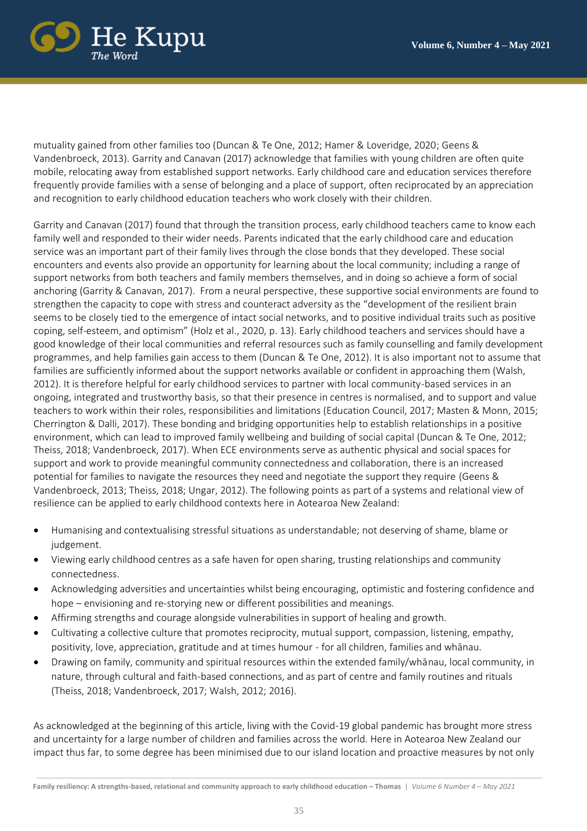

mutuality gained from other families too (Duncan & Te One, 2012; Hamer & Loveridge, 2020; Geens & Vandenbroeck, 2013). Garrity and Canavan (2017) acknowledge that families with young children are often quite mobile, relocating away from established support networks. Early childhood care and education services therefore frequently provide families with a sense of belonging and a place of support, often reciprocated by an appreciation and recognition to early childhood education teachers who work closely with their children.

Garrity and Canavan (2017) found that through the transition process, early childhood teachers came to know each family well and responded to their wider needs. Parents indicated that the early childhood care and education service was an important part of their family lives through the close bonds that they developed. These social encounters and events also provide an opportunity for learning about the local community; including a range of support networks from both teachers and family members themselves, and in doing so achieve a form of social anchoring (Garrity & Canavan, 2017). From a neural perspective, these supportive social environments are found to strengthen the capacity to cope with stress and counteract adversity as the "development of the resilient brain seems to be closely tied to the emergence of intact social networks, and to positive individual traits such as positive coping, self-esteem, and optimism" (Holz et al., 2020, p. 13). Early childhood teachers and services should have a good knowledge of their local communities and referral resources such as family counselling and family development programmes, and help families gain access to them (Duncan & Te One, 2012). It is also important not to assume that families are sufficiently informed about the support networks available or confident in approaching them (Walsh, 2012). It is therefore helpful for early childhood services to partner with local community-based services in an ongoing, integrated and trustworthy basis, so that their presence in centres is normalised, and to support and value teachers to work within their roles, responsibilities and limitations (Education Council, 2017; Masten & Monn, 2015; Cherrington & Dalli, 2017). These bonding and bridging opportunities help to establish relationships in a positive environment, which can lead to improved family wellbeing and building of social capital (Duncan & Te One, 2012; Theiss, 2018; Vandenbroeck, 2017). When ECE environments serve as authentic physical and social spaces for support and work to provide meaningful community connectedness and collaboration, there is an increased potential for families to navigate the resources they need and negotiate the support they require (Geens & Vandenbroeck, 2013; Theiss, 2018; Ungar, 2012). The following points as part of a systems and relational view of resilience can be applied to early childhood contexts here in Aotearoa New Zealand:

- Humanising and contextualising stressful situations as understandable; not deserving of shame, blame or judgement.
- Viewing early childhood centres as a safe haven for open sharing, trusting relationships and community connectedness.
- Acknowledging adversities and uncertainties whilst being encouraging, optimistic and fostering confidence and hope – envisioning and re-storying new or different possibilities and meanings.
- Affirming strengths and courage alongside vulnerabilities in support of healing and growth.
- Cultivating a collective culture that promotes reciprocity, mutual support, compassion, listening, empathy, positivity, love, appreciation, gratitude and at times humour - for all children, families and whānau.
- Drawing on family, community and spiritual resources within the extended family/whānau, local community, in nature, through cultural and faith-based connections, and as part of centre and family routines and rituals (Theiss, 2018; Vandenbroeck, 2017; Walsh, 2012; 2016).

As acknowledged at the beginning of this article, living with the Covid-19 global pandemic has brought more stress and uncertainty for a large number of children and families across the world. Here in Aotearoa New Zealand our impact thus far, to some degree has been minimised due to our island location and proactive measures by not only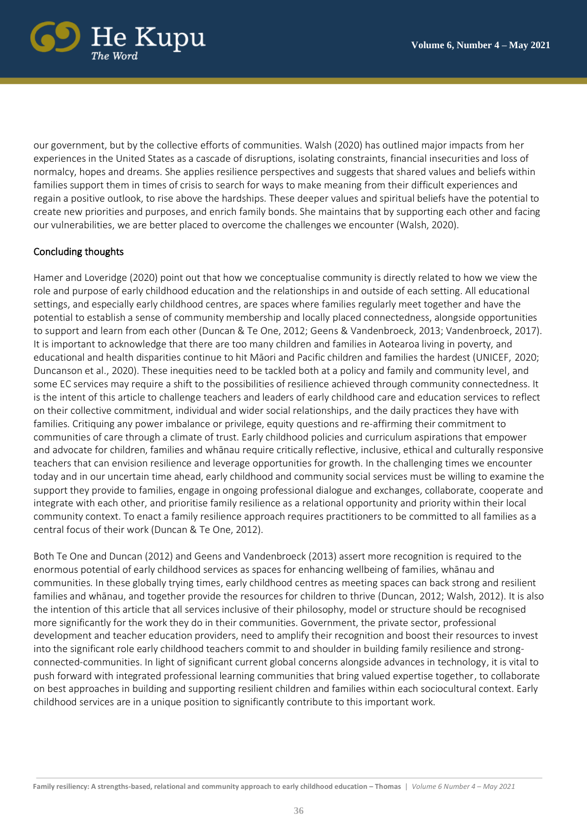

our government, but by the collective efforts of communities. Walsh (2020) has outlined major impacts from her experiences in the United States as a cascade of disruptions, isolating constraints, financial insecurities and loss of normalcy, hopes and dreams. She applies resilience perspectives and suggests that shared values and beliefs within families support them in times of crisis to search for ways to make meaning from their difficult experiences and regain a positive outlook, to rise above the hardships. These deeper values and spiritual beliefs have the potential to create new priorities and purposes, and enrich family bonds. She maintains that by supporting each other and facing our vulnerabilities, we are better placed to overcome the challenges we encounter (Walsh, 2020).

## Concluding thoughts

Hamer and Loveridge (2020) point out that how we conceptualise community is directly related to how we view the role and purpose of early childhood education and the relationships in and outside of each setting. All educational settings, and especially early childhood centres, are spaces where families regularly meet together and have the potential to establish a sense of community membership and locally placed connectedness, alongside opportunities to support and learn from each other (Duncan & Te One, 2012; Geens & Vandenbroeck, 2013; Vandenbroeck, 2017). It is important to acknowledge that there are too many children and families in Aotearoa living in poverty, and educational and health disparities continue to hit Māori and Pacific children and families the hardest (UNICEF, 2020; Duncanson et al., 2020). These inequities need to be tackled both at a policy and family and community level, and some EC services may require a shift to the possibilities of resilience achieved through community connectedness. It is the intent of this article to challenge teachers and leaders of early childhood care and education services to reflect on their collective commitment, individual and wider social relationships, and the daily practices they have with families. Critiquing any power imbalance or privilege, equity questions and re-affirming their commitment to communities of care through a climate of trust. Early childhood policies and curriculum aspirations that empower and advocate for children, families and whānau require critically reflective, inclusive, ethical and culturally responsive teachers that can envision resilience and leverage opportunities for growth. In the challenging times we encounter today and in our uncertain time ahead, early childhood and community social services must be willing to examine the support they provide to families, engage in ongoing professional dialogue and exchanges, collaborate, cooperate and integrate with each other, and prioritise family resilience as a relational opportunity and priority within their local community context. To enact a family resilience approach requires practitioners to be committed to all families as a central focus of their work (Duncan & Te One, 2012).

Both Te One and Duncan (2012) and Geens and Vandenbroeck (2013) assert more recognition is required to the enormous potential of early childhood services as spaces for enhancing wellbeing of families, whānau and communities. In these globally trying times, early childhood centres as meeting spaces can back strong and resilient families and whānau, and together provide the resources for children to thrive (Duncan, 2012; Walsh, 2012). It is also the intention of this article that all services inclusive of their philosophy, model or structure should be recognised more significantly for the work they do in their communities. Government, the private sector, professional development and teacher education providers, need to amplify their recognition and boost their resources to invest into the significant role early childhood teachers commit to and shoulder in building family resilience and strongconnected-communities. In light of significant current global concerns alongside advances in technology, it is vital to push forward with integrated professional learning communities that bring valued expertise together, to collaborate on best approaches in building and supporting resilient children and families within each sociocultural context. Early childhood services are in a unique position to significantly contribute to this important work.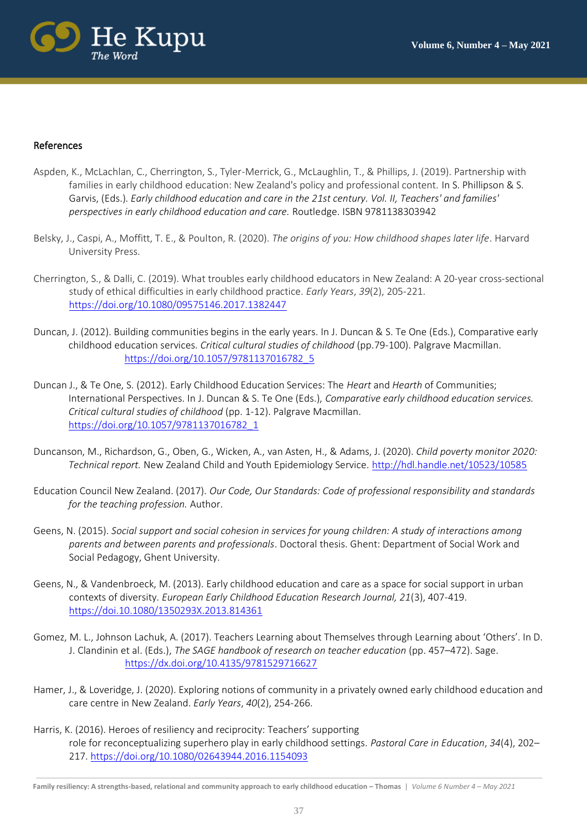

#### References

- Aspden, K., McLachlan, C., Cherrington, S., Tyler-Merrick, G., McLaughlin, T., & Phillips, J. (2019). Partnership with families in early childhood education: New Zealand's policy and professional content. In S. Phillipson & S. Garvis, (Eds.). *Early childhood education and care in the 21st century. Vol. II, Teachers' and families' perspectives in early childhood education and care.* Routledge. ISBN 9781138303942
- Belsky, J., Caspi, A., Moffitt, T. E., & Poulton, R. (2020). *The origins of you: How childhood shapes later life*. Harvard University Press.
- Cherrington, S., & Dalli, C. (2019). What troubles early childhood educators in New Zealand: A 20-year cross-sectional study of ethical difficulties in early childhood practice. *Early Years*, *39*(2), 205-221. <https://doi.org/10.1080/09575146.2017.1382447>
- Duncan, J. (2012). Building communities begins in the early years. In J. Duncan & S. Te One (Eds.), Comparative early childhood education services. *Critical cultural studies of childhood* (pp.79-100). Palgrave Macmillan. [https://doi.org/10.1057/9781137016782\\_5](https://doi.org/10.1057/9781137016782_5)
- Duncan J., & Te One, S. (2012). Early Childhood Education Services: The *Heart* and *Hearth* of Communities; International Perspectives. In J. Duncan & S. Te One (Eds.), *Comparative early childhood education services. Critical cultural studies of childhood* (pp. 1-12). Palgrave Macmillan. [https://doi.org/10.1057/9781137016782\\_1](https://doi.org/10.1057/9781137016782_1)
- Duncanson, M., Richardson, G., Oben, G., Wicken, A., van Asten, H., & Adams, J. (2020). *Child poverty monitor 2020: Technical report.* New Zealand Child and Youth Epidemiology Service[. http://hdl.handle.net/10523/10585](http://hdl.handle.net/10523/10585)
- Education Council New Zealand. (2017). *Our Code, Our Standards: Code of professional responsibility and standards for the teaching profession.* Author.
- Geens, N. (2015). *Social support and social cohesion in services for young children: A study of interactions among parents and between parents and professionals*. Doctoral thesis. Ghent: Department of Social Work and Social Pedagogy, Ghent University.
- Geens, N., & Vandenbroeck, M. (2013). Early childhood education and care as a space for social support in urban contexts of diversity. *European Early Childhood Education Research Journal, 21*(3), 407-419. https:/[/doi.10.1080/1350293X.2013.814361](https://doi.10.1080/1350293X.2013.814361)
- Gomez, M. L., Johnson Lachuk, A. (2017). Teachers Learning about Themselves through Learning about 'Others'. In D. J. Clandinin et al. (Eds.), *The SAGE handbook of research on teacher education* (pp. 457–472). Sage. <https://dx.doi.org/10.4135/9781529716627>
- Hamer, J., & Loveridge, J. (2020). Exploring notions of community in a privately owned early childhood education and care centre in New Zealand. *Early Years*, *40*(2), 254-266.
- Harris, K. (2016). Heroes of resiliency and reciprocity: Teachers' supporting role for reconceptualizing superhero play in early childhood settings*. Pastoral Care in Education*, *34*(4), 202– 217. https:/[/doi.org/10.1080/02643944.2016.1154093](about:blank)

**Family resiliency: A strengths-based, relational and community approach to early childhood education – Thomas** | *Volume 6 Number 4 – May 2021*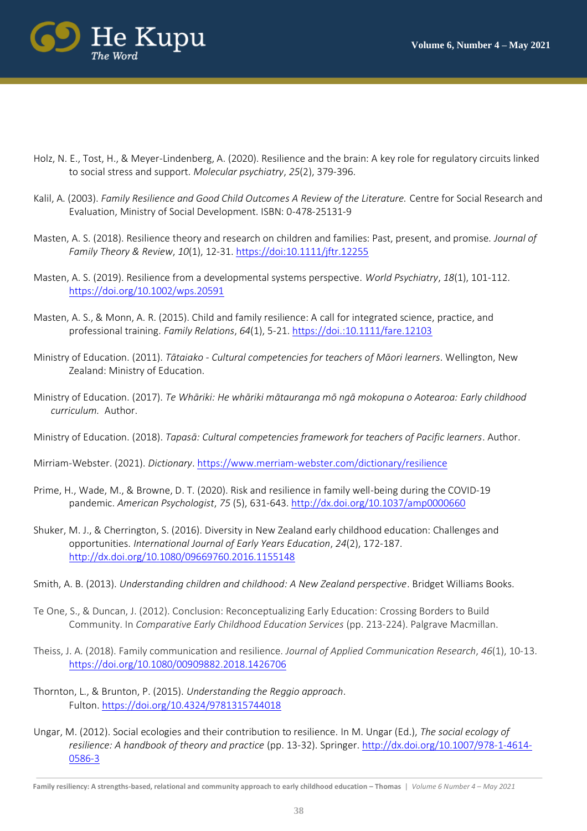

- Holz, N. E., Tost, H., & Meyer-Lindenberg, A. (2020). Resilience and the brain: A key role for regulatory circuits linked to social stress and support. *Molecular psychiatry*, *25*(2), 379-396.
- Kalil, A. (2003). *Family Resilience and Good Child Outcomes A Review of the Literature.* Centre for Social Research and Evaluation, Ministry of Social Development. ISBN: 0-478-25131-9
- Masten, A. S. (2018). Resilience theory and research on children and families: Past, present, and promise. *Journal of Family Theory & Review*, *10*(1), 12-31.<https://doi:10.1111/jftr.12255>
- Masten, A. S. (2019). Resilience from a developmental systems perspective. *World Psychiatry*, *18*(1), 101-112. <https://doi.org/10.1002/wps.20591>
- Masten, A. S., & Monn, A. R. (2015). Child and family resilience: A call for integrated science, practice, and professional training. *Family Relations*, *64*(1), 5-21.<https://doi.:10.1111/fare.12103>
- Ministry of Education. (2011). *Tātaiako - Cultural competencies for teachers of Māori learners*. Wellington, New Zealand: Ministry of Education.
- Ministry of Education. (2017). *Te Whāriki: He whāriki mātauranga mō ngā mokopuna o Aotearoa: Early childhood curriculum.* Author.

Ministry of Education. (2018). *Tapasā: Cultural competencies framework for teachers of Pacific learners*. Author.

Mirriam-Webster. (2021). *Dictionary*.<https://www.merriam-webster.com/dictionary/resilience>

- Prime, H., Wade, M., & Browne, D. T. (2020). Risk and resilience in family well-being during the COVID-19 pandemic. *American Psychologist*, *75* (5), 631-643.<http://dx.doi.org/10.1037/amp0000660>
- Shuker, M. J., & Cherrington, S. (2016). Diversity in New Zealand early childhood education: Challenges and opportunities. *International Journal of Early Years Education*, *24*(2), 172-187. <http://dx.doi.org/10.1080/09669760.2016.1155148>
- Smith, A. B. (2013). *Understanding children and childhood: A New Zealand perspective*. Bridget Williams Books.
- Te One, S., & Duncan, J. (2012). Conclusion: Reconceptualizing Early Education: Crossing Borders to Build Community. In *Comparative Early Childhood Education Services* (pp. 213-224). Palgrave Macmillan.
- Theiss, J. A. (2018). Family communication and resilience. *Journal of Applied Communication Research*, *46*(1), 10-13. <https://doi.org/10.1080/00909882.2018.1426706>
- Thornton, L., & Brunton, P. (2015). *Understanding the Reggio approach*. Fulton.<https://doi.org/10.4324/9781315744018>
- Ungar, M. (2012). Social ecologies and their contribution to resilience. In M. Ungar (Ed.), *The social ecology of resilience: A handbook of theory and practice* (pp. 13-32). Springer. [http://dx.doi.org/10.1007/978-1-4614-](http://dx.doi.org/10.1007/978-1-4614-0586-3) [0586-3](http://dx.doi.org/10.1007/978-1-4614-0586-3)

**Family resiliency: A strengths-based, relational and community approach to early childhood education – Thomas** | *Volume 6 Number 4 – May 2021*